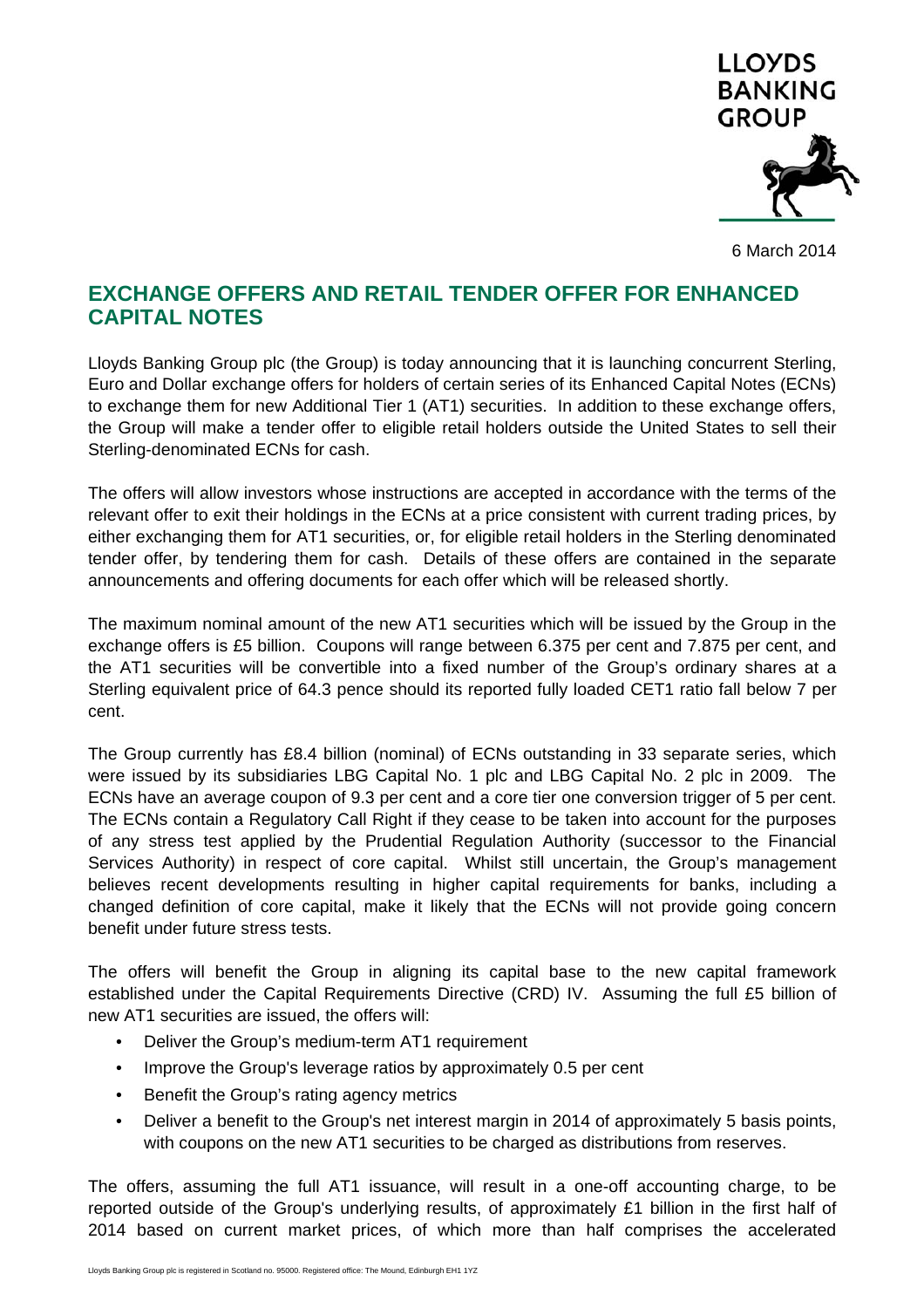

6 March 2014

# **EXCHANGE OFFERS AND RETAIL TENDER OFFER FOR ENHANCED CAPITAL NOTES**

Lloyds Banking Group plc (the Group) is today announcing that it is launching concurrent Sterling, Euro and Dollar exchange offers for holders of certain series of its Enhanced Capital Notes (ECNs) to exchange them for new Additional Tier 1 (AT1) securities. In addition to these exchange offers, the Group will make a tender offer to eligible retail holders outside the United States to sell their Sterling-denominated ECNs for cash.

The offers will allow investors whose instructions are accepted in accordance with the terms of the relevant offer to exit their holdings in the ECNs at a price consistent with current trading prices, by either exchanging them for AT1 securities, or, for eligible retail holders in the Sterling denominated tender offer, by tendering them for cash. Details of these offers are contained in the separate announcements and offering documents for each offer which will be released shortly.

The maximum nominal amount of the new AT1 securities which will be issued by the Group in the exchange offers is £5 billion. Coupons will range between 6.375 per cent and 7.875 per cent, and the AT1 securities will be convertible into a fixed number of the Group's ordinary shares at a Sterling equivalent price of 64.3 pence should its reported fully loaded CET1 ratio fall below 7 per cent.

The Group currently has £8.4 billion (nominal) of ECNs outstanding in 33 separate series, which were issued by its subsidiaries LBG Capital No. 1 plc and LBG Capital No. 2 plc in 2009. The ECNs have an average coupon of 9.3 per cent and a core tier one conversion trigger of 5 per cent. The ECNs contain a Regulatory Call Right if they cease to be taken into account for the purposes of any stress test applied by the Prudential Regulation Authority (successor to the Financial Services Authority) in respect of core capital. Whilst still uncertain, the Group's management believes recent developments resulting in higher capital requirements for banks, including a changed definition of core capital, make it likely that the ECNs will not provide going concern benefit under future stress tests.

The offers will benefit the Group in aligning its capital base to the new capital framework established under the Capital Requirements Directive (CRD) IV. Assuming the full £5 billion of new AT1 securities are issued, the offers will:

- Deliver the Group's medium-term AT1 requirement
- Improve the Group's leverage ratios by approximately 0.5 per cent
- Benefit the Group's rating agency metrics
- Deliver a benefit to the Group's net interest margin in 2014 of approximately 5 basis points, with coupons on the new AT1 securities to be charged as distributions from reserves.

The offers, assuming the full AT1 issuance, will result in a one-off accounting charge, to be reported outside of the Group's underlying results, of approximately £1 billion in the first half of 2014 based on current market prices, of which more than half comprises the accelerated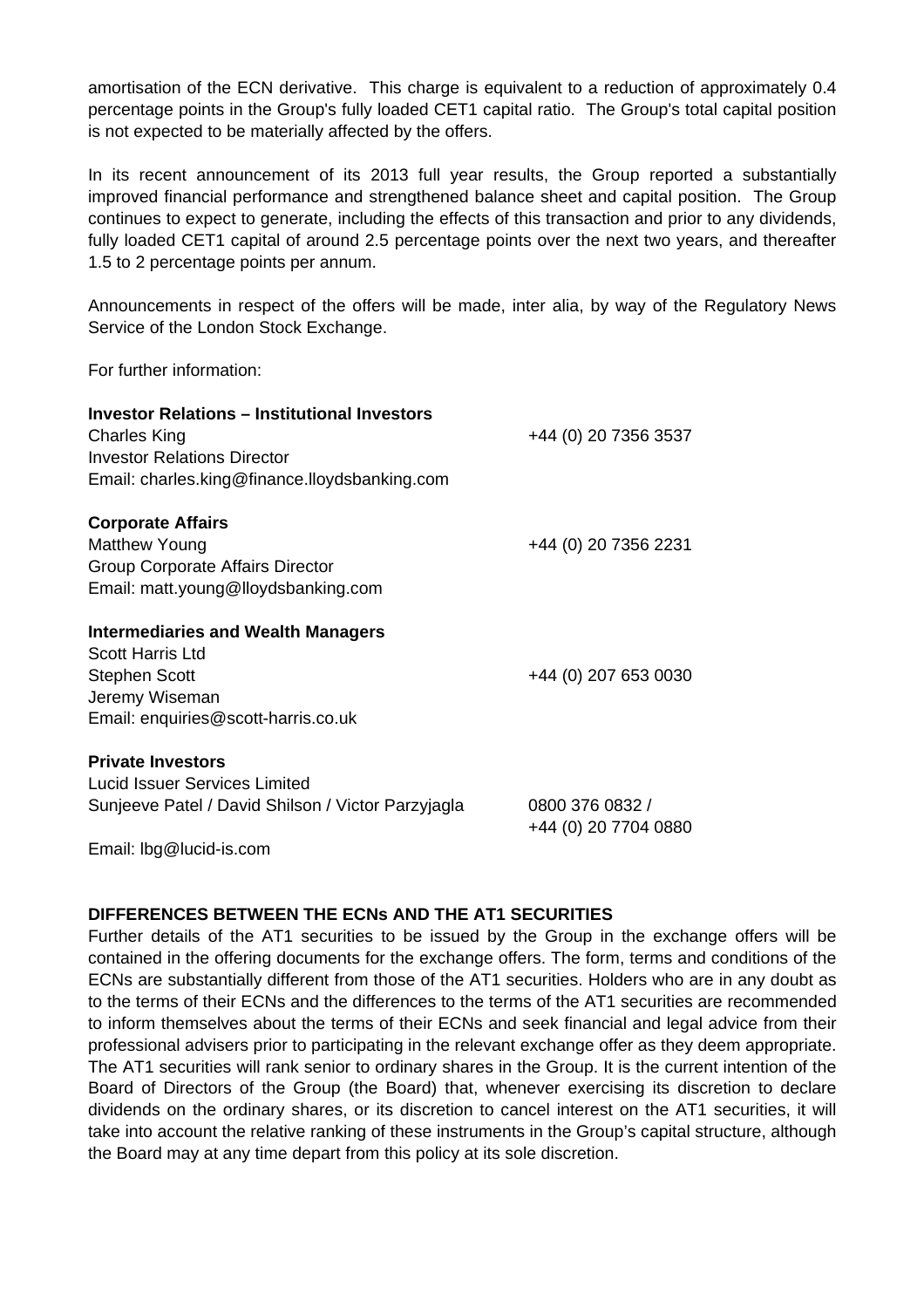amortisation of the ECN derivative. This charge is equivalent to a reduction of approximately 0.4 percentage points in the Group's fully loaded CET1 capital ratio. The Group's total capital position is not expected to be materially affected by the offers.

In its recent announcement of its 2013 full year results, the Group reported a substantially improved financial performance and strengthened balance sheet and capital position. The Group continues to expect to generate, including the effects of this transaction and prior to any dividends, fully loaded CET1 capital of around 2.5 percentage points over the next two years, and thereafter 1.5 to 2 percentage points per annum.

Announcements in respect of the offers will be made, inter alia, by way of the Regulatory News Service of the London Stock Exchange.

For further information:

| <b>Investor Relations – Institutional Investors</b><br><b>Charles King</b><br><b>Investor Relations Director</b><br>Email: charles.king@finance.lloydsbanking.com | +44 (0) 20 7356 3537                    |
|-------------------------------------------------------------------------------------------------------------------------------------------------------------------|-----------------------------------------|
| <b>Corporate Affairs</b><br><b>Matthew Young</b><br><b>Group Corporate Affairs Director</b><br>Email: matt.young@lloydsbanking.com                                | +44 (0) 20 7356 2231                    |
| <b>Intermediaries and Wealth Managers</b><br><b>Scott Harris Ltd</b><br><b>Stephen Scott</b><br>Jeremy Wiseman<br>Email: enquiries@scott-harris.co.uk             | +44 (0) 207 653 0030                    |
| <b>Private Investors</b><br>Lucid Issuer Services Limited<br>Sunjeeve Patel / David Shilson / Victor Parzyjagla                                                   | 0800 376 0832 /<br>+44 (0) 20 7704 0880 |

Email: lbg@lucid-is.com

## **DIFFERENCES BETWEEN THE ECNs AND THE AT1 SECURITIES**

Further details of the AT1 securities to be issued by the Group in the exchange offers will be contained in the offering documents for the exchange offers. The form, terms and conditions of the ECNs are substantially different from those of the AT1 securities. Holders who are in any doubt as to the terms of their ECNs and the differences to the terms of the AT1 securities are recommended to inform themselves about the terms of their ECNs and seek financial and legal advice from their professional advisers prior to participating in the relevant exchange offer as they deem appropriate. The AT1 securities will rank senior to ordinary shares in the Group. It is the current intention of the Board of Directors of the Group (the Board) that, whenever exercising its discretion to declare dividends on the ordinary shares, or its discretion to cancel interest on the AT1 securities, it will take into account the relative ranking of these instruments in the Group's capital structure, although the Board may at any time depart from this policy at its sole discretion.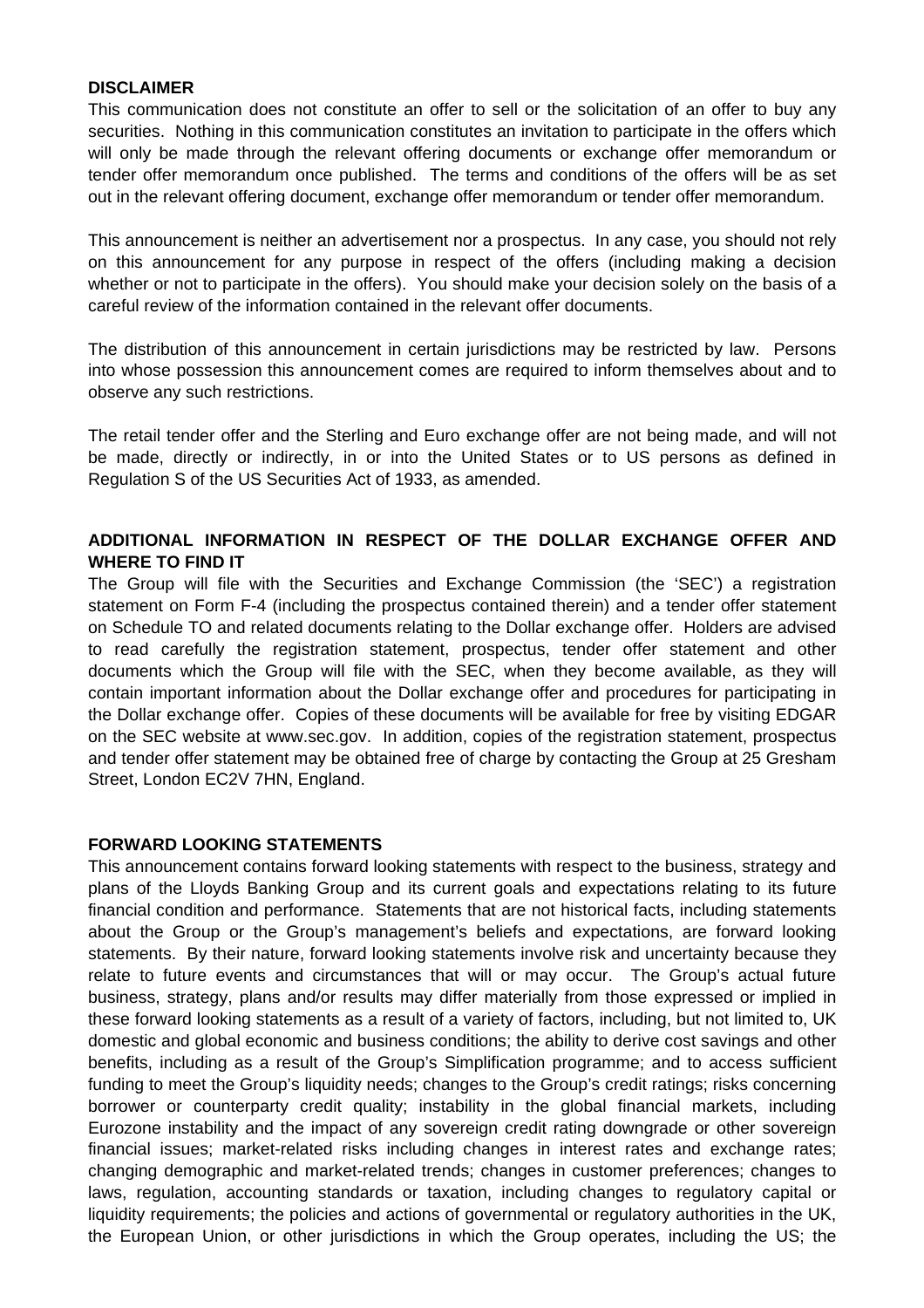#### **DISCLAIMER**

This communication does not constitute an offer to sell or the solicitation of an offer to buy any securities. Nothing in this communication constitutes an invitation to participate in the offers which will only be made through the relevant offering documents or exchange offer memorandum or tender offer memorandum once published. The terms and conditions of the offers will be as set out in the relevant offering document, exchange offer memorandum or tender offer memorandum.

This announcement is neither an advertisement nor a prospectus. In any case, you should not rely on this announcement for any purpose in respect of the offers (including making a decision whether or not to participate in the offers). You should make your decision solely on the basis of a careful review of the information contained in the relevant offer documents.

The distribution of this announcement in certain jurisdictions may be restricted by law. Persons into whose possession this announcement comes are required to inform themselves about and to observe any such restrictions.

The retail tender offer and the Sterling and Euro exchange offer are not being made, and will not be made, directly or indirectly, in or into the United States or to US persons as defined in Regulation S of the US Securities Act of 1933, as amended.

### **ADDITIONAL INFORMATION IN RESPECT OF THE DOLLAR EXCHANGE OFFER AND WHERE TO FIND IT**

The Group will file with the Securities and Exchange Commission (the 'SEC') a registration statement on Form F-4 (including the prospectus contained therein) and a tender offer statement on Schedule TO and related documents relating to the Dollar exchange offer. Holders are advised to read carefully the registration statement, prospectus, tender offer statement and other documents which the Group will file with the SEC, when they become available, as they will contain important information about the Dollar exchange offer and procedures for participating in the Dollar exchange offer. Copies of these documents will be available for free by visiting EDGAR on the SEC website at www.sec.gov. In addition, copies of the registration statement, prospectus and tender offer statement may be obtained free of charge by contacting the Group at 25 Gresham Street, London EC2V 7HN, England.

### **FORWARD LOOKING STATEMENTS**

This announcement contains forward looking statements with respect to the business, strategy and plans of the Lloyds Banking Group and its current goals and expectations relating to its future financial condition and performance. Statements that are not historical facts, including statements about the Group or the Group's management's beliefs and expectations, are forward looking statements. By their nature, forward looking statements involve risk and uncertainty because they relate to future events and circumstances that will or may occur. The Group's actual future business, strategy, plans and/or results may differ materially from those expressed or implied in these forward looking statements as a result of a variety of factors, including, but not limited to, UK domestic and global economic and business conditions; the ability to derive cost savings and other benefits, including as a result of the Group's Simplification programme; and to access sufficient funding to meet the Group's liquidity needs; changes to the Group's credit ratings; risks concerning borrower or counterparty credit quality; instability in the global financial markets, including Eurozone instability and the impact of any sovereign credit rating downgrade or other sovereign financial issues; market-related risks including changes in interest rates and exchange rates; changing demographic and market-related trends; changes in customer preferences; changes to laws, regulation, accounting standards or taxation, including changes to regulatory capital or liquidity requirements; the policies and actions of governmental or regulatory authorities in the UK, the European Union, or other jurisdictions in which the Group operates, including the US; the